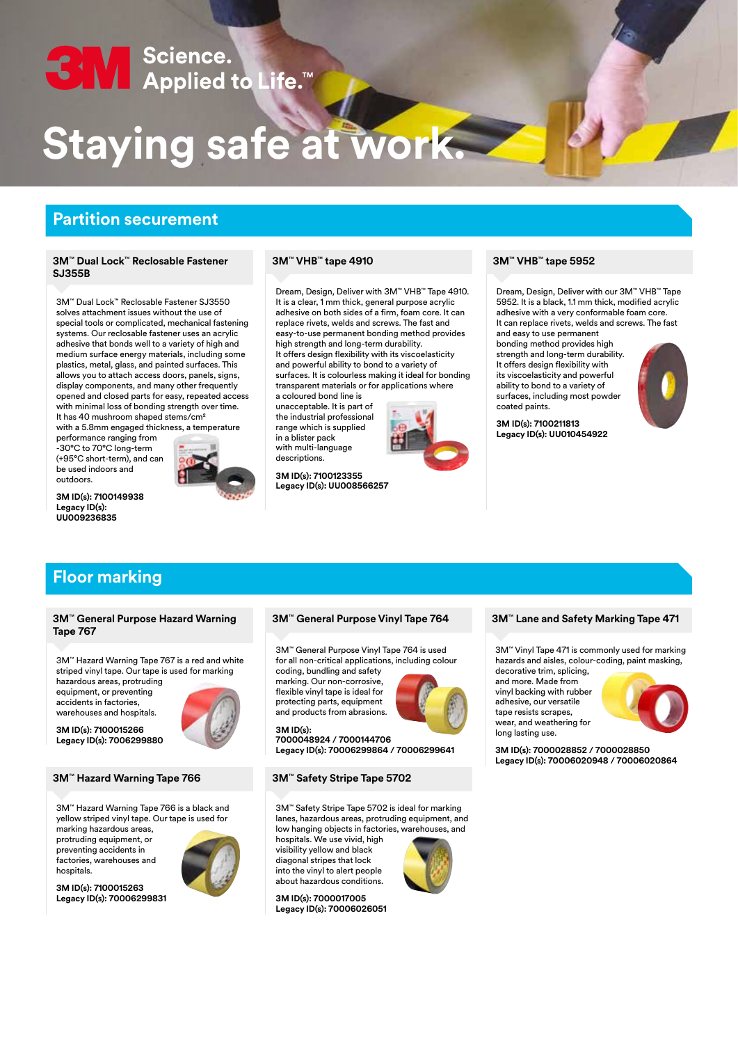# SN Science.<br>SN Applied to Life.™

# **Staying safe at work.**

# **Partition securement**

### **3M**™ **VHB**™ **3M tape 5952** ™ **Dual Lock**™ **Reclosable Fastener SJ355B**

3M™ Dual Lock™ Reclosable Fastener SJ3550 solves attachment issues without the use of special tools or complicated, mechanical fastening systems. Our reclosable fastener uses an acrylic adhesive that bonds well to a variety of high and medium surface energy materials, including some plastics, metal, glass, and painted surfaces. This allows you to attach access doors, panels, signs, display components, and many other frequently opened and closed parts for easy, repeated access with minimal loss of bonding strength over time. It has 40 mushroom shaped stems/cm²

with a 5.8mm engaged thickness, a temperature performance ranging from

-30°C to 70°C long-term (+95°C short-term), and can be used indoors and outdoors.

**3M ID(s): 7100149938 Legacy ID(s): UU009236835**



### **3M**™ **VHB**™ **tape 4910**

Dream, Design, Deliver with 3M™ VHB™ Tape 4910. It is a clear, 1 mm thick, general purpose acrylic adhesive on both sides of a firm, foam core. It can replace rivets, welds and screws. The fast and easy-to-use permanent bonding method provides high strength and long-term durability. It offers design flexibility with its viscoelasticity and powerful ability to bond to a variety of surfaces. It is colourless making it ideal for bonding transparent materials or for applications where

a coloured bond line is unacceptable. It is part of the industrial professional range which is supplied in a blister pack with multi-language descriptions.

**3M ID(s): 7100123355 Legacy ID(s): UU008566257**



Dream, Design, Deliver with our 3M™ VHB™ Tape 5952. It is a black, 1.1 mm thick, modified acrylic adhesive with a very conformable foam core. It can replace rivets, welds and screws. The fast and easy to use permanent

bonding method provides high strength and long-term durability. It offers design flexibility with its viscoelasticity and powerful ability to bond to a variety of surfaces, including most powder coated paints.

**3M ID(s): 7100211813 Legacy ID(s): UU010454922**

# **Floor marking**

#### **3M**™ **General Purpose Hazard Warning Tape 767**

3M™ Hazard Warning Tape 767 is a red and white striped vinyl tape. Our tape is used for marking hazardous areas, protruding equipment, or preventing accidents in factories,

warehouses and hospitals. **3M ID(s): 7100015266 Legacy ID(s): 7006299880**



#### **3M**™ **Hazard Warning Tape 766 3M**™ **Safety Stripe Tape 5702**

3M™ Hazard Warning Tape 766 is a black and yellow striped vinyl tape. Our tape is used for

marking hazardous areas, protruding equipment, or preventing accidents in factories, warehouses and hospitals.

**3M ID(s): 7100015263 Legacy ID(s): 70006299831**



3M™ General Purpose Vinyl Tape 764 is used for all non-critical applications, including colour

coding, bundling and safety marking. Our non-corrosive, flexible vinyl tape is ideal for protecting parts, equipment and products from abrasions.

**3M ID(s): 7000048924 / 7000144706 Legacy ID(s): 70006299864 / 70006299641**

3M™ Safety Stripe Tape 5702 is ideal for marking lanes, hazardous areas, protruding equipment, and low hanging objects in factories, warehouses, and

hospitals. We use vivid, high visibility yellow and black diagonal stripes that lock into the vinyl to alert people about hazardous conditions.

**3M ID(s): 7000017005 Legacy ID(s): 70006026051**



3M™ Vinyl Tape 471 is commonly used for marking hazards and aisles, colour-coding, paint masking,

decorative trim, splicing, and more. Made from vinyl backing with rubber adhesive, our versatile tape resists scrapes, wear, and weathering for long lasting use.



**3M ID(s): 7000028852 / 7000028850 Legacy ID(s): 70006020948 / 70006020864**